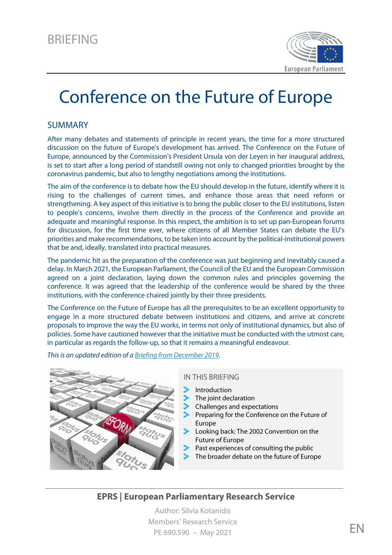

# Conference on the Future of Europe

#### SUMMARY

After many debates and statements of principle in recent years, the time for a more structured discussion on the future of Europe's development has arrived. The Conference on the Future of Europe, announced by the Commission's President Ursula von der Leyen in her inaugural address, is set to start after a long period of standstill owing not only to changed priorities brought by the coronavirus pandemic, but also to lengthy negotiations among the institutions.

The aim of the conference is to debate how the EU should develop in the future, identify where it is rising to the challenges of current times, and enhance those areas that need reform or strengthening. A key aspect of this initiative is to bring the public closer to the EU institutions, listen to people's concerns, involve them directly in the process of the Conference and provide an adequate and meaningful response. In this respect, the ambition is to set up pan-European forums for discussion, for the first time ever, where citizens of all Member States can debate the EU's priorities and make recommendations, to be taken into account by the political-institutional powers that be and, ideally, translated into practical measures.

The pandemic hit as the preparation of the conference was just beginning and inevitably caused a delay. In March 2021, the European Parliament, the Council of the EU and the European Commission agreed on a joint declaration, laying down the common rules and principles governing the conference. It was agreed that the leadership of the conference would be shared by the three institutions, with the conference chaired jointly by their three presidents.

The Conference on the Future of Europe has all the prerequisites to be an excellent opportunity to engage in a more structured debate between institutions and citizens, and arrive at concrete proposals to improve the way the EU works, in terms not only of institutional dynamics, but also of policies. Some have cautioned however that the initiative must be conducted with the utmost care, in particular as regards the follow-up, so that it remains a meaningful endeavour.

*This is an updated edition of [a Briefing from December 2019](http://www.europarl.europa.eu/thinktank/en/document.html?reference=EPRS_BRI(2019)644202)*.



#### IN THIS BRIEFING

- Introduction
- The joint declaration
- Challenges and expectations
- Preparing for the Conference on the Future of Europe
- Looking back: The 2002 Convention on the Future of Europe
- Past experiences of consulting the public
- The broader debate on the future of Europe

#### **EPRS | European Parliamentary Research Service**

Author: Silvia Kotanidis Members' Research Service PE 690.590 – May 2021  $EN$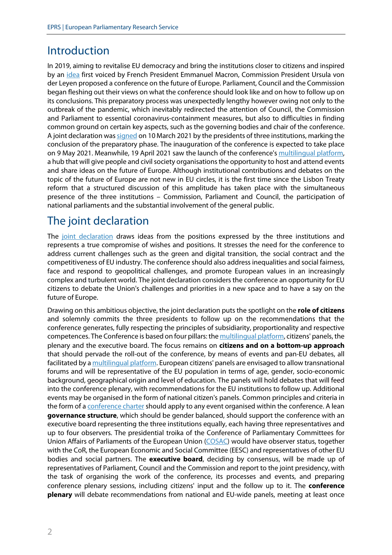## Introduction

In 2019, aiming to revitalise EU democracy and bring the institutions closer to citizens and inspired by an [idea](https://www.federalists.eu/conference-on-the-future-of-europe#:%7E:text=In%20March%202019%2C%20President%20Macron,the%20road%20to%20European%20renewal%E2%80%9D.) first voiced by French President Emmanuel Macron, Commission President Ursula von der Leyen proposed a conference on the future of Europe. Parliament, Council and the Commission began fleshing out their views on what the conference should look like and on how to follow up on its conclusions. This preparatory process was unexpectedly lengthy however owing not only to the outbreak of the pandemic, which inevitably redirected the attention of Council, the Commission and Parliament to essential coronavirus-containment measures, but also to difficulties in finding common ground on certain key aspects, such as the governing bodies and chair of the conference. A joint declaration wa[s signed](https://www.europarl.europa.eu/news/en/press-room/20210304IPR99242/future-of-europe-engaging-with-citizens-to-build-a-more-resilient-europe) on 10 March 2021 by the presidents of three institutions, marking the conclusion of the preparatory phase. The inauguration of the conference is expected to take place on 9 May 2021. Meanwhile, 19 April 2021 saw the launch of the conference'[s multilingual platform,](https://futureu.europa.eu/?locale=en) a hub that will give people and civil society organisations the opportunity to host and attend events and share ideas on the future of Europe. Although institutional contributions and debates on the topic of the future of Europe are not new in EU circles, it is the first time since the Lisbon Treaty reform that a structured discussion of this amplitude has taken place with the simultaneous presence of the three institutions – Commission, Parliament and Council, the participation of national parliaments and the substantial involvement of the general public.

# The joint declaration

The [joint declaration](https://ec.europa.eu/info/sites/info/files/en_-_joint_declaration_on_the_conference_on_the_future_of_europe.pdf) draws ideas from the positions expressed by the three institutions and represents a true compromise of wishes and positions. It stresses the need for the conference to address current challenges such as the green and digital transition, the social contract and the competitiveness of EU industry. The conference should also address inequalities and social fairness, face and respond to geopolitical challenges, and promote European values in an increasingly complex and turbulent world. The joint declaration considers the conference an opportunity for EU citizens to debate the Union's challenges and priorities in a new space and to have a say on the future of Europe.

Drawing on this ambitious objective, the joint declaration puts the spotlight on the **role of citizens** and solemnly commits the three presidents to follow up on the recommendations that the conference generates, fully respecting the principles of subsidiarity, proportionality and respective competences. The Conference is based on four pillars: th[e multilingual platform,](https://futureu.europa.eu/?locale=en) citizens' panels, the plenary and the executive board. The focus remains on **citizens and on a bottom-up approach** that should pervade the roll-out of the conference, by means of events and pan-EU debates, all facilitated by [a multilingual platform.](https://futureu.europa.eu/?locale=en) European citizens' panels are envisaged to allow transnational forums and will be representative of the EU population in terms of age, gender, socio-economic background, geographical origin and level of education. The panels will hold debates that will feed into the conference plenary, with recommendations for the EU institutions to follow up. Additional events may be organised in the form of national citizen's panels. Common principles and criteria in the form of a [conference charter](https://futureu.europa.eu/pages/charter?locale=en) should apply to any event organised within the conference. A lean **governance structure**, which should be gender balanced, should support the conference with an executive board representing the three institutions equally, each having three representatives and up to four observers. The presidential troika of the Conference of Parliamentary Committees for Union Affairs of Parliaments of the European Union [\(COSAC\)](http://www.cosac.eu/en/) would have observer status, together with the CoR, the European Economic and Social Committee (EESC) and representatives of other EU bodies and social partners. The **executive board**, deciding by consensus, will be made up of representatives of Parliament, Council and the Commission and report to the joint presidency, with the task of organising the work of the conference, its processes and events, and preparing conference plenary sessions, including citizens' input and the follow up to it. The **conference plenary** will debate recommendations from national and EU-wide panels, meeting at least once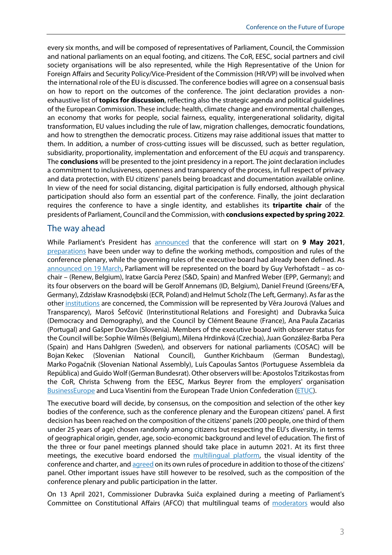every six months, and will be composed of representatives of Parliament, Council, the Commission and national parliaments on an equal footing, and citizens. The CoR, EESC, social partners and civil society organisations will be also represented, while the High Representative of the Union for Foreign Affairs and Security Policy/Vice-President of the Commission (HR/VP) will be involved when the international role of the EU is discussed. The conference bodies will agree on a consensual basis on how to report on the outcomes of the conference. The joint declaration provides a nonexhaustive list of **topics for discussion**, reflecting also the strategic agenda and political guidelines of the European Commission. These include: health, climate change and environmental challenges, an economy that works for people, social fairness, equality, intergenerational solidarity, digital transformation, EU values including the rule of law, migration challenges, democratic foundations, and how to strengthen the democratic process. Citizens may raise additional issues that matter to them. In addition, a number of cross-cutting issues will be discussed, such as better regulation, subsidiarity, proportionality, implementation and enforcement of the EU *acquis* and transparency. The **conclusions** will be presented to the joint presidency in a report. The joint declaration includes a commitment to inclusiveness, openness and transparency of the process, in full respect of privacy and data protection, with EU citizens' panels being broadcast and documentation available online. In view of the need for social distancing, digital participation is fully endorsed, although physical participation should also form an essential part of the conference. Finally, the joint declaration requires the conference to have a single identity, and establishes its **tripartite chair** of the presidents of Parliament, Council and the Commission, with **conclusions expected by spring 2022**.

#### The way ahead

While Parliament's President has [announced](https://multimedia.europarl.europa.eu/en/signing-ceremony-on-the-joint-declaration-for-the-conference-of-the-future-of-europe-opening-statement-sassoli-costa-von-der-leyen_I202965-V_v) that the conference will start on **9 May 2021**, [preparations](https://agenceurope.eu/en/bulletin/article/12675/6) have been under way to define the working methods, composition and rules of the conference plenary, while the governing rules of the executive board had already been defined. As [announced on 19](https://www.europarl.europa.eu/news/en/press-room/20210319IPR00427/conference-on-the-future-of-europe-ep-appoints-executive-board-representatives) March, Parliament will be represented on the board by Guy Verhofstadt – as cochair – (Renew, Belgium), Iratxe García Perez (S&D, Spain) and Manfred Weber (EPP, Germany); and its four observers on the board will be Gerolf Annemans (ID, Belgium), Daniel Freund (Greens/EFA, Germany), Zdzisław Krasnodębski (ECR, Poland) and Helmut Scholz (The Left, Germany). As far as the other [institutions](https://agenceurope.eu/en/bulletin/article/12686/32) are concerned, the Commission will be represented by Věra Jourová (Values and Transparency), Maroš Šefčovič (Interinstitutional Relations and Foresight) and Dubravka Šuica (Democracy and Demography), and the Council by Clément Beaune (France), Ana Paula Zacarias (Portugal) and Gašper Dovžan (Slovenia). Members of the executive board with observer status for the Council will be: Sophie Wilmès (Belgium), Milena Hrdinková (Czechia), Juan González-Barba Pera (Spain) and Hans Dahlgren (Sweden), and observers for national parliaments (COSAC) will be Bojan Kekec (Slovenian National Council), Gunther Krichbaum (German Bundestag), Marko Pogačnik (Slovenian National Assembly), Luís Capoulas Santos (Portuguese Assembleia da República) and Guido Wolf (German Bundesrat). Other observers will be: Apostolos Tzitzikostas from the CoR, Christa Schweng from the EESC, Markus Beyrer from the employers' organisation [BusinessEurope](https://www.businesseurope.eu/) and Luca Visentini from the European Trade Union Confederation [\(ETUC\)](https://www.etuc.org/en).

The executive board will decide, by consensus, on the composition and selection of the other key bodies of the conference, such as the conference plenary and the European citizens' panel. A first decision has been reached on the composition of the citizens' panels (200 people, one third of them under 25 years of age) chosen randomly among citizens but respecting the EU's diversity, in terms of geographical origin, gender, age, socio-economic background and level of education. The first of the three or four panel meetings planned should take place in autumn 2021. At its first three meetings, the executive board endorsed the [multilingual platform,](https://www.europarl.europa.eu/news/en/press-room/20210414IPR02003/conference-on-the-future-of-europe-launch-of-the-multilingual-digital-platform) the visual identity of the conference and charter, an[d agreed](https://www.europarl.europa.eu/news/en/press-room/20210420IPR02414/conference-on-the-future-of-europe-preparations-continue) on its own rules of procedure in addition to those of the citizens' panel. Other important issues have still however to be resolved, such as the composition of the conference plenary and public participation in the latter.

On 13 April 2021, Commissioner Dubravka Suiča explained during a meeting of Parliament's Committee on Constitutional Affairs (AFCO) that multilingual teams of [moderators](https://agenceurope.eu/en/bulletin/article/12698/11) would also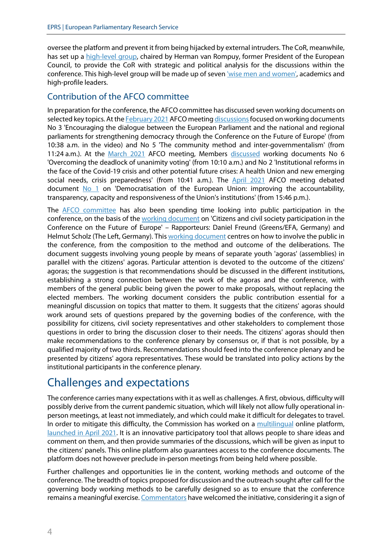oversee the platform and prevent it from being hijacked by external intruders. The CoR, meanwhile, has set up a [high-level group,](https://cor.europa.eu/en/news/Pages/CoR-High-Level-Group-on-European-Democracy-holds-its-first-meeting-to-support-local-leaders) chaired by Herman van Rompuy, former President of the European Council, to provide the CoR with strategic and political analysis for the discussions within the conference. This high-level group will be made up of seven ['wise men and women',](https://cor.europa.eu/en/news/Pages/CoR-High-Level-Group-on-European-Democracy-holds-its-first-meeting-to-support-local-leaders) academics and high-profile leaders.

#### Contribution of the AFCO committee

In preparation for the conference, the AFCO committee has discussed seven working documents on selected key topics. At th[e February 2021](https://www.europarl.europa.eu/meetdocs/2014_2019/plmrep/COMMITTEES/AFCO/OJ/2021/02-25/1225050EN.pdf) AFCO meeting discussions focused on working documents No 3 'Encouraging the dialogue between the European Parliament and the national and regional parliaments for strengthening democracy through the Conference on the Future of Europe' (from 10:38 a.m. in the video) and No 5 'The community method and inter-governmentalism' (from 11:24 a.m.). At the [March 2021](https://emeeting.europarl.europa.eu/emeeting/committee/en/agenda/202103/AFCO?meeting=AFCO-2021-0317_1&session=03-17-09-00) AFCO meeting, Members [discussed](https://multimedia.europarl.europa.eu/en/committee-on-constitutional-affairs_20210317-0900-COMMITTEE-AFCO_vd) working documents No 6 'Overcoming the deadlock of unanimity voting' (from 10:10 a.m.) and No 2 'Institutional reforms in the face of the Covid-19 crisis and other potential future crises: A health Union and new emerging social needs, crisis preparedness' (from 10:41 a.m.). The [April 2021](https://emeeting.europarl.europa.eu/emeeting/committee/en/agenda/202104/AFCO?meeting=AFCO-2021-0412_1&session=04-12-13-45) AFCO meeting debated document  $No 1$  on 'Democratisation of the European Union: improving the accountability, transparency, capacity and responsiveness of the Union's institutions' (from 15:46 p.m.).

The [AFCO committee](https://emeeting.europarl.europa.eu/emeeting/committee/en/agenda/202101/AFCO?meeting=AFCO-2021-0127_1&session=01-27-13-45) has also been spending time looking into public participation in the conference, on the basis of the [working document](https://www.europarl.europa.eu/committees/en/conference-on-the-future-of-europe/product-details/20191216CDT03202) on 'Citizens and civil society participation in the Conference on the Future of Europe' – Rapporteurs: Daniel Freund (Greens/EFA, Germany) and Helmut Scholz (The Left, Germany). Thi[s working document](https://www.europarl.europa.eu/cmsdata/230266/AFCO%20Working%20Document%20on%20Citizens%20and%20Civil%20Society%20Participation%20in%20the%20C.O.F.E.%20-%20FINAL.pdf) centres on how to involve the public in the conference, from the composition to the method and outcome of the deliberations. The document suggests involving young people by means of separate youth 'agoras' (assemblies) in parallel with the citizens' agoras. Particular attention is devoted to the outcome of the citizens' agoras; the suggestion is that recommendations should be discussed in the different institutions, establishing a strong connection between the work of the agoras and the conference, with members of the general public being given the power to make proposals, without replacing the elected members. The working document considers the public contribution essential for a meaningful discussion on topics that matter to them. It suggests that the citizens' agoras should work around sets of questions prepared by the governing bodies of the conference, with the possibility for citizens, civil society representatives and other stakeholders to complement those questions in order to bring the discussion closer to their needs. The citizens' agoras should then make recommendations to the conference plenary by consensus or, if that is not possible, by a qualified majority of two thirds. Recommendations should feed into the conference plenary and be presented by citizens' agora representatives. These would be translated into policy actions by the institutional participants in the conference plenary.

### Challenges and expectations

The conference carries many expectations with it as well as challenges. A first, obvious, difficulty will possibly derive from the current pandemic situation, which will likely not allow fully operational inperson meetings, at least not immediately, and which could make it difficult for delegates to travel. In order to mitigate this difficulty, the Commission has worked on a [multilingual](https://futureu.europa.eu/pages/faq?locale=en) online platform, [launched in April 2021.](https://www.europarl.europa.eu/news/en/press-room/20210414IPR02003/conference-on-the-future-of-europe-launch-of-the-multilingual-digital-platform) It is an innovative participatory tool that allows people to share ideas and comment on them, and then provide summaries of the discussions, which will be given as input to the citizens' panels. This online platform also guarantees access to the conference documents. The platform does not however preclude in-person meetings from being held where possible.

Further challenges and opportunities lie in the content, working methods and outcome of the conference. The breadth of topics proposed for discussion and the outreach sought after call for the governing body working methods to be carefully designed so as to ensure that the conference remains a meaningful exercise[. Commentators](https://andrewduff.blogactiv.eu/2019/09/11/how-the-new-commission-will-treat-eu-constitutional-reform/) have welcomed the initiative, considering it a sign of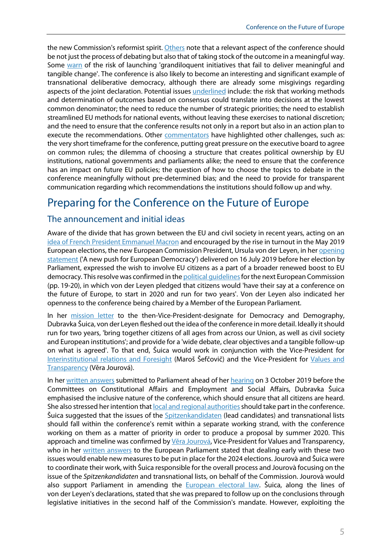the new Commission's reformist spirit[. Others](http://www.epc.eu/en/Publications/The-European-Citizens-Consultations-deserve-pride-of-place-at-von-der%7E21c488) note that a relevant aspect of the conference should be not just the process of debating but also that of taking stock of the outcome in a meaningful way. Some [warn](https://carnegieeurope.eu/2019/11/06/six-ideas-for-rejuvenating-european-democracy-pub-80279) of the risk of launching 'grandiloquent initiatives that fail to deliver meaningful and tangible change'. The conference is also likely to become an interesting and significant example of transnational deliberative democracy, although there are already some misgivings regarding aspects of the joint declaration. Potential issue[s underlined](https://www.epc.eu/en/Publications/The-Conference-on-the-Future-of-Europe-Mind-the-gaps%7E3c8fe8) include: the risk that working methods and determination of outcomes based on consensus could translate into decisions at the lowest common denominator; the need to reduce the number of strategic priorities; the need to establish streamlined EU methods for national events, without leaving these exercises to national discretion; and the need to ensure that the conference results not only in a report but also in an action plan to execute the recommendations. Other [commentators](https://brussels.fes.de/fileadmin/public/editorfiles/events/2021/Q1/210315_CoFoE_Paper_final_online.pdf) have highlighted other challenges, such as: the very short timeframe for the conference, putting great pressure on the executive board to agree on common rules; the dilemma of choosing a structure that creates political ownership by EU institutions, national governments and parliaments alike; the need to ensure that the conference has an impact on future EU policies; the question of how to choose the topics to debate in the conference meaningfully without pre-determined bias; and the need to provide for transparent communication regarding which recommendations the institutions should follow up and why.

# Preparing for the Conference on the Future of Europe

#### The announcement and initial ideas

Aware of the divide that has grown between the EU and civil society in recent years, acting on an [idea of French President Emmanuel Macron](https://www.euractiv.com/section/eu-elections-2019/news/macron-wants-a-convention-to-reform-europe/) and encouraged by the rise in turnout in the May 2019 European elections, the new European Commission President, Ursula von der Leyen, in he[r opening](https://ec.europa.eu/commission/presscorner/detail/en/SPEECH_19_4230)  [statement](https://ec.europa.eu/commission/presscorner/detail/en/SPEECH_19_4230) ('A new push for European Democracy') delivered on 16 July 2019 before her election by Parliament, expressed the wish to involve EU citizens as a part of a broader renewed boost to EU democracy. This resolve was confirmed in the political guidelines for the next European Commission (pp. 19-20), in which von der Leyen pledged that citizens would 'have their say at a conference on the future of Europe, to start in 2020 and run for two years'. Von der Leyen also indicated her openness to the conference being chaired by a Member of the European Parliament.

In her [mission letter](https://ec.europa.eu/commission/sites/beta-political/files/mission-letter-dubravka-suica_en.pdf) to the then-Vice-President-designate for Democracy and Demography, Dubravka Šuica, von der Leyen fleshed out the idea of the conference in more detail. Ideally it should run for two years, 'bring together citizens of all ages from across our Union, as well as civil society and European institutions'; and provide for a 'wide debate, clear objectives and a tangible follow-up on what is agreed'. To that end, Šuica would work in conjunction with the Vice-President for [Interinstitutional relations and Foresight](https://ec.europa.eu/commission/sites/beta-political/files/mission-letter-maros-sefcovic-2019_en.pdf) (Maroš Šefčovič) and the Vice-President for Values and [Transparency](https://ec.europa.eu/commission/sites/beta-political/files/mission-letter-vera-jourova-2019_en.pdf) (Věra Jourová).

In her [written answers](https://www.europarl.europa.eu/resources/library/media/20190927RES62435/20190927RES62435.pdf) submitted to Parliament ahead of her [hearing](https://www.europarl.europa.eu/news/en/hearings2019/commission-hearings-2019/20190910STO60714/dubravka-suica-croatia) on 3 October 2019 before the Committees on Constitutional Affairs and Employment and Social Affairs, Dubravka Šuica emphasised the inclusive nature of the conference, which should ensure that all citizens are heard. She also stressed her intention that **local and regional authorities** should take part in the conference. Šuica suggested that the issues of the **Spitzenkandidaten** (lead candidates) and transnational lists should fall within the conference's remit within a separate working strand, with the conference working on them as a matter of priority in order to produce a proposal by summer 2020. This approach and timeline was confirmed by Věra Jourová, Vice-President for Values and Transparency, who in her [written answers](https://www.europarl.europa.eu/resources/library/media/20190927RES62431/20190927RES62431.pdf) to the European Parliament stated that dealing early with these two issues would enable new measures to be put in place for the 2024 elections.Jourovà and Šuica were to coordinate their work, with Šuica responsible for the overall process and Jourovà focusing on the issue of the *Spitzenkandidaten* and transnational lists, on behalf of the Commission. Jourovà would also support Parliament in amending the **European electoral law**. Šuica, along the lines of von der Leyen's declarations, stated that she was prepared to follow up on the conclusions through legislative initiatives in the second half of the Commission's mandate. However, exploiting the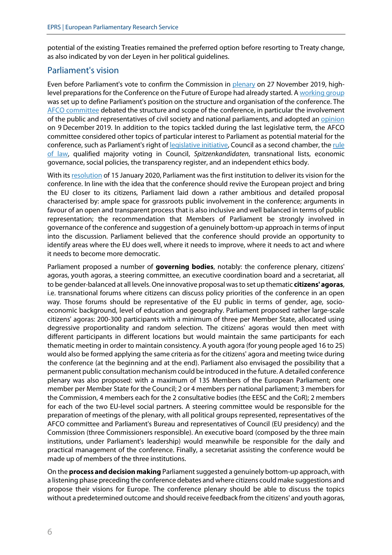potential of the existing Treaties remained the preferred option before resorting to Treaty change, as also indicated by von der Leyen in her political guidelines.

#### Parliament's vision

Even before Parliament's vote to confirm the Commission in [plenary](http://www.europarl.europa.eu/doceo/document/TA-9-2019-0067_EN.html) on 27 November 2019, high-level preparations for the Conference on the Future of Europe had already started. [A working group](https://agensir.it/quotidiano/2019/10/24/eu-parliament-conference-on-future-of-europe-working-group-appointed-to-plan-the-event/) was set up to define Parliament's position on the structure and organisation of the conference. The [AFCO committee](https://www.europarl.europa.eu/ep-live/fr/committees/video?event=20191112-1430-COMMITTEE-AFCO) debated the structure and scope of the conference, in particular the involvement of the public and representatives of civil society and national parliaments, and adopted a[n opinion](https://emeeting.europarl.europa.eu/emeeting/committee/en/agenda/201912/AFCO?meeting=AFCO-2019-1209_1P&session=12-09-18-00) on 9 December 2019. In addition to the topics tackled during the last legislative term, the AFCO committee considered other topics of particular interest to Parliament as potential material for the conference, such as Parliament's right of [legislative initiative,](https://www.europarl.europa.eu/RegData/etudes/BRIE/2020/646174/EPRS_BRI(2020)646174_EN.pdf) Council as a second chamber, the rule [of law,](https://www.europarl.europa.eu/RegData/etudes/STUD/2020/652088/EPRS_STU(2020)652088_EN.pdf) qualified majority voting in Council, *Spitzenkandidaten*, transnational lists, economic governance, social policies, the transparency register, and an independent ethics body.

With it[s resolution](https://www.europarl.europa.eu/doceo/document/TA-9-2020-0010_EN.html) of 15 January 2020, Parliament was the first institution to deliver its vision for the conference. In line with the idea that the conference should revive the European project and bring the EU closer to its citizens, Parliament laid down a rather ambitious and detailed proposal characterised by: ample space for grassroots public involvement in the conference; arguments in favour of an open and transparent process that is also inclusive and well balanced in terms of public representation; the recommendation that Members of Parliament be strongly involved in governance of the conference and suggestion of a genuinely bottom-up approach in terms of input into the discussion. Parliament believed that the conference should provide an opportunity to identify areas where the EU does well, where it needs to improve, where it needs to act and where it needs to become more democratic.

Parliament proposed a number of **governing bodies**, notably: the conference plenary, citizens' agoras, youth agoras, a steering committee, an executive coordination board and a secretariat, all to be gender-balanced at all levels. One innovative proposal was to set up thematic **citizens' agoras**, i.e. transnational forums where citizens can discuss policy priorities of the conference in an open way. Those forums should be representative of the EU public in terms of gender, age, socioeconomic background, level of education and geography. Parliament proposed rather large-scale citizens' agoras: 200-300 participants with a minimum of three per Member State, allocated using degressive proportionality and random selection. The citizens' agoras would then meet with different participants in different locations but would maintain the same participants for each thematic meeting in order to maintain consistency. A youth agora (for young people aged 16 to 25) would also be formed applying the same criteria as for the citizens' agora and meeting twice during the conference (at the beginning and at the end). Parliament also envisaged the possibility that a permanent public consultation mechanism could be introduced in the future. A detailed conference plenary was also proposed: with a maximum of 135 Members of the European Parliament; one member per Member State for the Council; 2 or 4 members per national parliament; 3 members for the Commission, 4 members each for the 2 consultative bodies (the EESC and the CoR); 2 members for each of the two EU-level social partners. A steering committee would be responsible for the preparation of meetings of the plenary, with all political groups represented, representatives of the AFCO committee and Parliament's Bureau and representatives of Council (EU presidency) and the Commission (three Commissioners responsible). An executive board (composed by the three main institutions, under Parliament's leadership) would meanwhile be responsible for the daily and practical management of the conference. Finally, a secretariat assisting the conference would be made up of members of the three institutions.

On the **process and decision making** Parliament suggested a genuinely bottom-up approach, with a listening phase preceding the conference debates and where citizens could make suggestions and propose their visions for Europe. The conference plenary should be able to discuss the topics without a predetermined outcome and should receive feedback from the citizens' and youth agoras,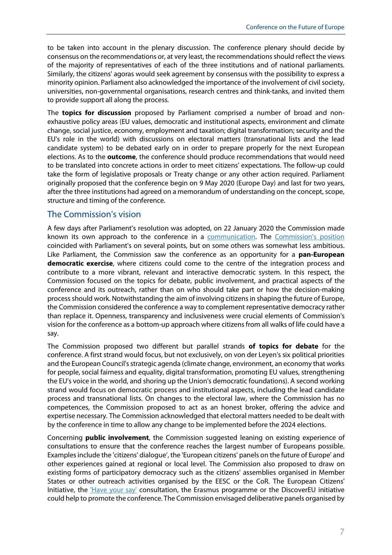to be taken into account in the plenary discussion. The conference plenary should decide by consensus on the recommendations or, at very least, the recommendations should reflect the views of the majority of representatives of each of the three institutions and of national parliaments. Similarly, the citizens' agoras would seek agreement by consensus with the possibility to express a minority opinion. Parliament also acknowledged the importance of the involvement of civil society, universities, non-governmental organisations, research centres and think-tanks, and invited them to provide support all along the process.

The **topics for discussion** proposed by Parliament comprised a number of broad and nonexhaustive policy areas (EU values, democratic and institutional aspects, environment and climate change, social justice, economy, employment and taxation; digital transformation; security and the EU's role in the world) with discussions on electoral matters (transnational lists and the lead candidate system) to be debated early on in order to prepare properly for the next European elections. As to the **outcome**, the conference should produce recommendations that would need to be translated into concrete actions in order to meet citizens' expectations. The follow-up could take the form of legislative proposals or Treaty change or any other action required. Parliament originally proposed that the conference begin on 9 May 2020 (Europe Day) and last for two years, after the three institutions had agreed on a memorandum of understanding on the concept, scope, structure and timing of the conference.

#### The Commission's vision

A few days after Parliament's resolution was adopted, on 22 January 2020 the Commission made known its own approach to the conference in a [communication.](https://ec.europa.eu/info/sites/info/files/communication-conference-future-of-europe-january-2020_en.pdf) The [Commission's position](https://ec.europa.eu/commission/presscorner/api/files/document/print/en/ip_20_89/IP_20_89_EN.pdf) coincided with Parliament's on several points, but on some others was somewhat less ambitious. Like Parliament, the Commission saw the conference as an opportunity for a **pan-European democratic exercise**, where citizens could come to the centre of the integration process and contribute to a more vibrant, relevant and interactive democratic system. In this respect, the Commission focused on the topics for debate, public involvement, and practical aspects of the conference and its outreach, rather than on who should take part or how the decision-making process should work. Notwithstanding the aim of involving citizens in shaping the future of Europe, the Commission considered the conference a way to complement representative democracy rather than replace it. Openness, transparency and inclusiveness were crucial elements of Commission's vision for the conference as a bottom-up approach where citizens from all walks of life could have a say.

The Commission proposed two different but parallel strands **of topics for debate** for the conference. A first strand would focus, but not exclusively, on von der Leyen's six political priorities and the European Council's strategic agenda (climate change, environment, an economy that works for people, social fairness and equality, digital transformation, promoting EU values, strengthening the EU's voice in the world, and shoring up the Union's democratic foundations). A second working strand would focus on democratic process and institutional aspects, including the lead candidate process and transnational lists. On changes to the electoral law, where the Commission has no competences, the Commission proposed to act as an honest broker, offering the advice and expertise necessary. The Commission acknowledged that electoral matters needed to be dealt with by the conference in time to allow any change to be implemented before the 2024 elections.

Concerning **public involvement**, the Commission suggested leaning on existing experience of consultations to ensure that the conference reaches the largest number of Europeans possible. Examples include the 'citizens' dialogue', the 'European citizens' panels on the future of Europe' and other experiences gained at regional or local level. The Commission also proposed to draw on existing forms of participatory democracy such as the citizens' assemblies organised in Member States or other outreach activities organised by the EESC or the CoR. The European Citizens' Initiative, the  $H$ -Have your say' consultation, the Erasmus programme or the DiscoverEU initiative could help to promote the conference. The Commission envisaged deliberative panels organised by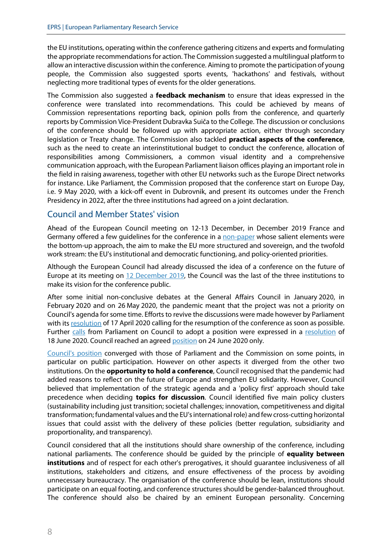the EU institutions, operating within the conference gathering citizens and experts and formulating the appropriate recommendations for action. The Commission suggested a multilingual platform to allow an interactive discussion within the conference. Aiming to promote the participation of young people, the Commission also suggested sports events, 'hackathons' and festivals, without neglecting more traditional types of events for the older generations.

The Commission also suggested a **feedback mechanism** to ensure that ideas expressed in the conference were translated into recommendations. This could be achieved by means of Commission representations reporting back, opinion polls from the conference, and quarterly reports by Commission Vice-President Dubravka Suiča to the College. The discussion or conclusions of the conference should be followed up with appropriate action, either through secondary legislation or Treaty change. The Commission also tackled **practical aspects of the conference**, such as the need to create an interinstitutional budget to conduct the conference, allocation of responsibilities among Commissioners, a common visual identity and a comprehensive communication approach, with the European Parliament liaison offices playing an important role in the field in raising awareness, together with other EU networks such as the Europe Direct networks for instance. Like Parliament, the Commission proposed that the conference start on Europe Day, i.e. 9 May 2020, with a kick-off event in Dubrovnik, and present its outcomes under the French Presidency in 2022, after the three institutions had agreed on a joint declaration.

#### Council and Member States' vision

Ahead of the European Council meeting on 12-13 December, in December 2019 France and Germany offered a few guidelines for the conference in a [non-paper](https://www.politico.eu/wp-content/uploads/2019/11/Conference-on-the-Future-of-Europe.pdf) whose salient elements were the bottom-up approach, the aim to make the EU more structured and sovereign, and the twofold work stream: the EU's institutional and democratic functioning, and policy-oriented priorities.

Although the European Council had already discussed the idea of a conference on the future of Europe at its meeting on [12 December 2019,](https://www.consilium.europa.eu/en/meetings/european-council/2019/12/12-13/) the Council was the last of the three institutions to make its vision for the conference public.

After some initial non-conclusive debates at the General Affairs Council in January 2020, in February 2020 and on 26 May 2020, the pandemic meant that the project was not a priority on Council's agenda for some time. Efforts to revive the discussions were made however by Parliament with it[s resolution](https://www.europarl.europa.eu/doceo/document/TA-9-2020-0054_EN.html) of 17 April 2020 calling for the resumption of the conference as soon as possible. Further [calls](https://www.europarl.europa.eu/RegData/etudes/ATAG/2020/651959/EPRS_ATA(2020)651959_EN.pdf) from Parliament on Council to adopt a position were expressed in a [resolution](https://www.europarl.europa.eu/doceo/document/TA-9-2020-0153_EN.html) of 18 June 2020. Council reached an agree[d position](https://www.consilium.europa.eu/media/44679/st09102-en20.pdf) on 24 June 2020 only.

[Council's position](https://www.consilium.europa.eu/en/press/press-releases/2020/06/24/conference-on-the-future-of-europe-council-agrees-its-position/) converged with those of Parliament and the Commission on some points, in particular on public participation. However on other aspects it diverged from the other two institutions. On the **opportunity to hold a conference**, Council recognised that the pandemic had added reasons to reflect on the future of Europe and strengthen EU solidarity. However, Council believed that implementation of the strategic agenda and a 'policy first' approach should take precedence when deciding **topics for discussion**. Council identified five main policy clusters (sustainability including just transition; societal challenges; innovation, competitiveness and digital transformation; fundamental values and the EU's international role) and few cross-cutting horizontal issues that could assist with the delivery of these policies (better regulation, subsidiarity and proportionality, and transparency).

Council considered that all the institutions should share ownership of the conference, including national parliaments. The conference should be guided by the principle of **equality between institutions** and of respect for each other's prerogatives, it should guarantee inclusiveness of all institutions, stakeholders and citizens, and ensure effectiveness of the process by avoiding unnecessary bureaucracy. The organisation of the conference should be lean, institutions should participate on an equal footing, and conference structures should be gender-balanced throughout. The conference should also be chaired by an eminent European personality. Concerning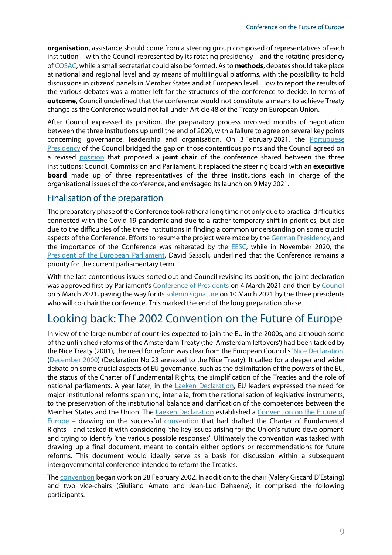**organisation**, assistance should come from a steering group composed of representatives of each institution – with the Council represented by its rotating presidency – and the rotating presidency o[f COSAC,](http://www.cosac.eu/en/) while a small secretariat could also be formed. As to **methods**, debates should take place at national and regional level and by means of multilingual platforms, with the possibility to hold discussions in citizens' panels in Member States and at European level. How to report the results of the various debates was a matter left for the structures of the conference to decide. In terms of **outcome**, Council underlined that the conference would not constitute a means to achieve Treaty change as the Conference would not fall under Article 48 of the Treaty on European Union.

After Council expressed its position, the preparatory process involved months of negotiation between the three institutions up until the end of 2020, with a failure to agree on several key points concerning governance, leadership and organisation. On 3 February 2021, the Portuguese [Presidency](https://www.euractiv.com/section/eu-council-presidency/news/eu27-accept-portuguese-idea-on-conference-on-the-future-of-europe/) of the Council bridged the gap on those contentious points and the Council agreed on a revised [position](https://www.consilium.europa.eu/media/48588/st_5911_2021_init_en.pdf) that proposed a **joint chair** of the conference shared between the three institutions: Council, Commission and Parliament. It replaced the steering board with an **executive board** made up of three representatives of the three institutions each in charge of the organisational issues of the conference, and envisaged its launch on 9 May 2021.

#### Finalisation of the preparation

The preparatory phase of the Conference took rather a long time not only due to practical difficulties connected with the Covid-19 pandemic and due to a rather temporary shift in priorities, but also due to the difficulties of the three institutions in finding a common understanding on some crucial aspects of the Conference. Efforts to resume the project were made by th[e German Presidency,](https://www.eu2020.de/eu2020-en/civil-society-conferende-on-the-future-of-europe/2360192) and the importance of the Conference was reiterated by the **EESC**, while in November 2020, the [President of the European Parliament,](https://www.europarl.europa.eu/the-president/en/newsroom/sassoli-conference-on-the-future-of-europe-is-a-chance-to-strengthen-european-democracy-and-rediscover-the-soul-of-the-european) David Sassoli, underlined that the Conference remains a priority for the current parliamentary term.

With the last contentious issues sorted out and Council revising its position, the joint declaration was approved first by Parliament's [Conference of Presidents](https://www.europarl.europa.eu/news/en/press-room/20210301IPR98957/ep-leaders-approve-conference-on-the-future-of-europe-s-founding-declaration) on 4 March 2021 and then b[y Council](https://www.consilium.europa.eu/en/press/press-releases/2021/03/05/the-conference-on-the-future-of-europe-gets-green-light-from-the-council/) on 5 March 2021, paving the way for it[s solemn signature](https://www.europarl.europa.eu/news/en/press-room/20210304IPR99242/future-of-europe-engaging-with-citizens-to-build-a-more-resilient-europe) on 10 March 2021 by the three presidents who will co-chair the conference. This marked the end of the long preparation phase.

# Looking back: The 2002 Convention on the Future of Europe

In view of the large number of countries expected to join the EU in the 2000s, and although some of the unfinished reforms of the Amsterdam Treaty (the 'Amsterdam leftovers') had been tackled by the Nice Treaty (2001), the need for reform was clear from the European Council'[s 'Nice Declaration'](https://eur-lex.europa.eu/legal-content/EN/TXT/HTML/?uri=LEGISSUM:xy0021&from=FR) [\(December 2000\)](https://www.cvce.eu/collections/unit-content/-/unit/02bb76df-d066-4c08-a58a-d4686a3e68ff/369c4261-a1e9-4358-91ce-8e9e08d66237) (Declaration No 23 annexed to the Nice Treaty). It called for a deeper and wider debate on some crucial aspects of EU governance, such as the delimitation of the powers of the EU, the status of the Charter of Fundamental Rights, the simplification of the Treaties and the role of national parliaments. A year later, in the [Laeken Declaration,](https://ec.europa.eu/dorie/fileDownload.do;jsessionid=BfT1JXCLqsj0GqG1GmTSb6PW0fPlZyQq7k7z2hxnqtQ8xJmJZJQP!-172979321?docId=344249&cardId=344249) EU leaders expressed the need for major institutional reforms spanning, inter alia, from the rationalisation of legislative instruments, to the preservation of the institutional balance and clarification of the competences between the Member States and the Union. The [Laeken Declaration](https://www.cvce.eu/en/obj/laeken_declaration_on_the_future_of_the_european_union_15_december_2001-en-a76801d5-4bf0-4483-9000-e6df94b07a55.html) established a [Convention on the Future of](https://www.europarl.europa.eu/factsheets/en/sheet/4/the-treaty-of-nice-and-the-convention-on-the-future-of-europe)  [Europe](https://www.europarl.europa.eu/factsheets/en/sheet/4/the-treaty-of-nice-and-the-convention-on-the-future-of-europe) - drawing on the successful [convention](https://www.europarl.europa.eu/charter/composition_en.htm) that had drafted the Charter of Fundamental Rights – and tasked it with considering 'the key issues arising for the Union's future development' and trying to identify 'the various possible responses'. Ultimately the convention was tasked with drawing up a final document, meant to contain either options or recommendations for future reforms. This document would ideally serve as a basis for discussion within a subsequent intergovernmental conference intended to reform the Treaties.

Th[e convention](http://european-convention.europa.eu/EN/praesidium/praesidium2352.html?lang=EN) began work on 28 February 2002. In addition to the chair (Valéry Giscard D'Estaing) and two vice-chairs (Giuliano Amato and Jean-Luc Dehaene), it comprised the following participants: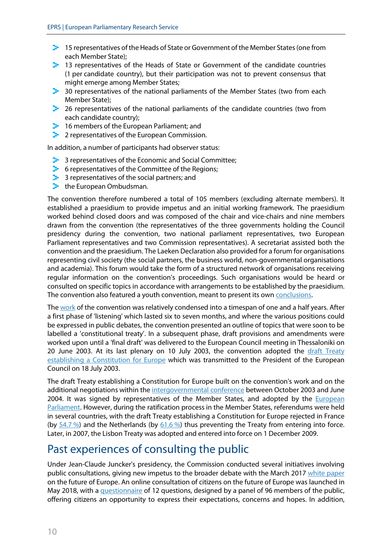- **2** 15 representatives of the Heads of State or Government of the Member States (one from each Member State);
- <sup>1</sup> 13 representatives of the Heads of State or Government of the candidate countries (1 per candidate country), but their participation was not to prevent consensus that might emerge among Member States;
- $\blacktriangleright$  30 representatives of the national parliaments of the Member States (two from each Member State);
- $\blacktriangleright$  26 representatives of the national parliaments of the candidate countries (two from each candidate country);
- $\geq$  16 members of the European Parliament; and
- <sup>2</sup> 2 representatives of the European Commission.

In addition, a number of participants had observer status:

- $\blacktriangleright$  3 representatives of the Economic and Social Committee;
- $\blacktriangleright$  6 representatives of the Committee of the Regions;
- $\geq$  3 representatives of the social partners; and
- $\blacktriangleright$  the European Ombudsman.

The convention therefore numbered a total of 105 members (excluding alternate members). It established a praesidium to provide impetus and an initial working framework. The praesidium worked behind closed doors and was composed of the chair and vice-chairs and nine members drawn from the convention (the representatives of the three governments holding the Council presidency during the convention, two national parliament representatives, two European Parliament representatives and two Commission representatives). A secretariat assisted both the convention and the praesidium. The Laeken Declaration also provided for a forum for organisations representing civil society (the social partners, the business world, non-governmental organisations and academia). This forum would take the form of a structured network of organisations receiving regular information on the convention's proceedings. Such organisations would be heard or consulted on specific topics in accordance with arrangements to be established by the praesidium. The convention also featured a youth convention, meant to present its own [conclusions.](http://european-convention.europa.eu/pdf/reg/en/02/cv00/cv00205.en02.pdf)

Th[e work](https://www.euractiv.com/section/future-eu/opinion/convention-on-the-future-of-europe-end-of-term-report/) of the convention was relatively condensed into a timespan of one and a half years. After a first phase of 'listening' which lasted six to seven months, and where the various positions could be expressed in public debates, the convention presented an outline of topics that were soon to be labelled a 'constitutional treaty'. In a subsequent phase, draft provisions and amendments were worked upon until a 'final draft' was delivered to the European Council meeting in Thessaloniki on 20 June 2003. At its last plenary on 10 July 2003, the convention adopted the draft Treaty [establishing a Constitution for Europe](http://european-convention.europa.eu/pdf/reg/en/03/cv00/cv00850.en03.pdf) which was transmitted to the President of the European Council on 18 July 2003.

The draft Treaty establishing a Constitution for Europe built on the convention's work and on the additional negotiations within th[e intergovernmental conference](https://www.cvce.eu/en/education/unit-content/-/unit/d5906df5-4f83-4603-85f7-0cabc24b9fe1/7deff0d5-260f-47c3-bc5f-1acb702daf36/Resources) between October 2003 and June 2004. It was signed by representatives of the Member States, and adopted by the *European* [Parliament.](http://www.europarl.europa.eu/sides/getDoc.do?pubRef=-//EP//TEXT+TA+P6-TA-2005-0004+0+DOC+XML+V0//EN&language=EN) However, during the ratification process in the Member States, referendums were held in several countries, with the draft Treaty establishing a Constitution for Europe rejected in France (by [54.7](http://news.bbc.co.uk/2/hi/europe/4592243.stm) %) and the Netherlands (by [61.6](http://news.bbc.co.uk/2/hi/4601439.stm) %) thus preventing the Treaty from entering into force. Later, in 2007, the Lisbon Treaty was adopted and entered into force on 1 December 2009.

### Past experiences of consulting the public

Under Jean-Claude Juncker's presidency, the Commission conducted several initiatives involving public consultations, giving new impetus to the broader debate with the March 2017 [white paper](https://ec.europa.eu/info/sites/default/files/white_paper_on_the_future_of_europe_en.pdf) on the future of Europe. An online consultation of citizens on the future of Europe was launched in May 2018, with [a questionnaire](https://ec.europa.eu/consultation/runner/Future-of-Europe?surveylanguage=en) of 12 questions, designed by a panel of 96 members of the public, offering citizens an opportunity to express their expectations, concerns and hopes. In addition,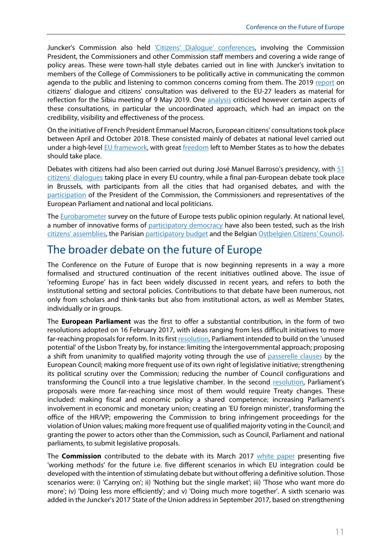Juncker's Commission also held ['Citizens' Dialogue' conferences,](https://ec.europa.eu/info/about-european-commission/get-involved/citizens-dialogues_en) involving the Commission President, the Commissioners and other Commission staff members and covering a wide range of policy areas. These were town-hall style debates carried out in line with Juncker's invitation to members of the College of Commissioners to be politically active in communicating the common agenda to the public and listening to common concerns coming from them. The 2019 [report](https://ec.europa.eu/commission/sites/beta-political/files/euco-sibiu-citizensdialogues_en.pdf) on citizens' dialogue and citizens' consultation was delivered to the EU-27 leaders as material for reflection for the Sibiu meeting of 9 May 2019. One [analysis](https://www.epc.eu/en/Publications/The-European-Citizens-Consult%7E267d84) criticised however certain aspects of these consultations, in particular the uncoordinated approach, which had an impact on the credibility, visibility and effectiveness of the process.

On the initiative of French President Emmanuel Macron, European citizens' consultationstook place between April and October 2018. These consisted mainly of debates at national level carried out under a high-level [EU framework,](http://data.consilium.europa.eu/doc/document/ST-14535-2018-INIT/en/pdf) with great [freedom](https://www.epc.eu/documents/uploads/pub_8839_ecc_executive_summary.pdf?doc_id=2064) left to Member States as to how the debates should take place.

Debates with citizens had also been carried out during José Manuel Barroso's presidency, with 51 citizens' [dialogues](https://ec.europa.eu/archives/debate-future-europe/citizens-dialogues/index_en.htm) taking place in every EU country, while a final pan-European debate took place in Brussels, with participants from all the cities that had organised debates, and with the [participation](https://ec.europa.eu/archives/debate-future-europe/citizens-dialogues/belgium/brussels3/dialogue_en.pdf) of the President of the Commission, the Commissioners and representatives of the European Parliament and national and local politicians.

Th[e Eurobarometer](https://europa.eu/eurobarometer/surveys/browse/all/series/4962) survey on the future of Europe tests public opinion regularly. At national level, a number of innovative forms of [participatory democracy](https://www.europarl.europa.eu/RegData/etudes/STUD/2020/651970/EPRS_STU(2020)651970_EN.pdf) have also been tested, such as the Irish [citizens' assemblies,](https://www.citizensassembly.ie/en/) the Parisian [participatory budget](https://budgetparticipatif.paris.fr/bp/) and the Belgia[n Ostbelgien Citizens' Council.](https://oidp.net/en/practice.php?id=1237)

## The broader debate on the future of Europe

The Conference on the Future of Europe that is now beginning represents in a way a more formalised and structured continuation of the recent initiatives outlined above. The issue of 'reforming Europe' has in fact been widely discussed in recent years, and refers to both the institutional setting and sectoral policies. Contributions to that debate have been numerous, not only from scholars and think-tanks but also from institutional actors, as well as Member States, individually or in groups.

The **European Parliament** was the first to offer a substantial contribution, in the form of two resolutions adopted on 16 February 2017, with ideas ranging from less difficult initiatives to more far-reaching proposals for reform. In its firs[t resolution,](https://www.europarl.europa.eu/doceo/document/TA-8-2017-0049_EN.html?redirect) Parliament intended to build on the 'unused potential' of the Lisbon Treaty by, for instance: limiting the intergovernmental approach; proposing a shift from unanimity to qualified majority voting through the use of [passerelle clauses](https://www.europarl.europa.eu/RegData/etudes/STUD/2020/659420/EPRS_STU(2020)659420_EN.pdf) by the European Council; making more frequent use of its own right of legislative initiative; strengthening its political scrutiny over the Commission; reducing the number of Council configurations and transforming the Council into a true legislative chamber. In the second [resolution,](https://www.europarl.europa.eu/doceo/document/TA-8-2017-0048_EN.html?redirect) Parliament's proposals were more far-reaching since most of them would require Treaty changes. These included: making fiscal and economic policy a shared competence; increasing Parliament's involvement in economic and monetary union; creating an 'EU foreign minister', transforming the office of the HR/VP; empowering the Commission to bring infringement proceedings for the violation of Union values; making more frequent use of qualified majority voting in the Council; and granting the power to actors other than the Commission, such as Council, Parliament and national parliaments, to submit legislative proposals.

The **Commission** contributed to the debate with its March 2017 [white paper](https://ec.europa.eu/commission/sites/beta-political/files/white_paper_on_the_future_of_europe_en.pdf) presenting five 'working methods' for the future i.e. five different scenarios in which EU integration could be developed with the intention of stimulating debate but without offering a definitive solution. Those scenarios were: i) 'Carrying on'; ii) 'Nothing but the single market'; iii) 'Those who want more do more'; iv) 'Doing less more efficiently'; and v) 'Doing much more together'. A sixth scenario was added in the Juncker's 2017 State of the Union address in September 2017, based on strengthening